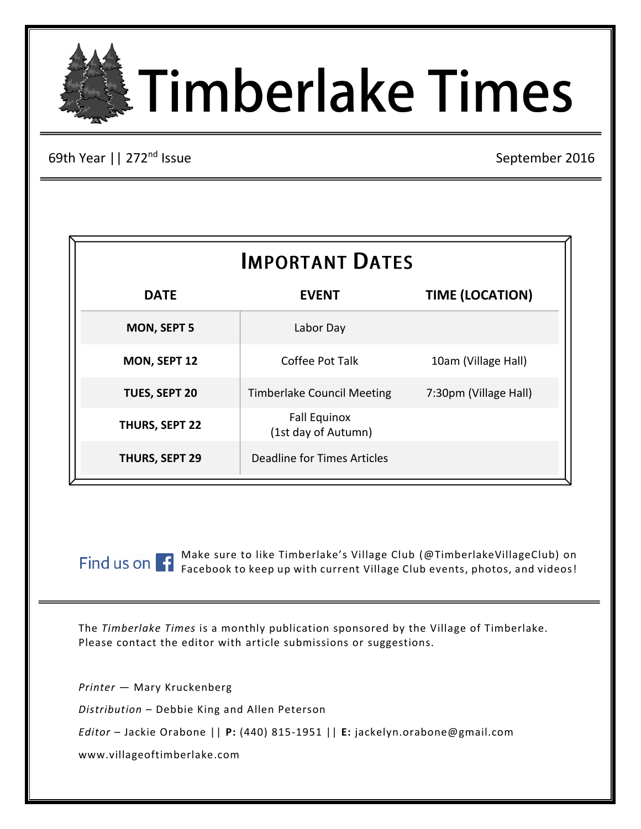# **ETimberlake Times**

69th Year | | 272<sup>nd</sup> Issue

September 2016

| <b>IMPORTANT DATES</b> |                                            |                        |  |
|------------------------|--------------------------------------------|------------------------|--|
| <b>DATE</b>            | <b>EVENT</b>                               | <b>TIME (LOCATION)</b> |  |
| <b>MON, SEPT 5</b>     | Labor Day                                  |                        |  |
| MON, SEPT 12           | Coffee Pot Talk                            | 10am (Village Hall)    |  |
| <b>TUES, SEPT 20</b>   | <b>Timberlake Council Meeting</b>          | 7:30pm (Village Hall)  |  |
| THURS, SEPT 22         | <b>Fall Equinox</b><br>(1st day of Autumn) |                        |  |
| THURS, SEPT 29         | <b>Deadline for Times Articles</b>         |                        |  |

Make sure to like Timberlake's Village Club (@TimberlakeVillageClub) on Facebook to keep up with current Village Club events, photos, and videos!

The *Timberlake Times* is a monthly publication sponsored by the Village of Timberlake. Please contact the editor with article submissions or suggestions.

*Printer* — Mary Kruckenberg *Distribution* – Debbie King and Allen Peterson *Editor* – Jackie Orabone || **P:** (440) 815-1951 || **E:** jackelyn.orabone@gmail.com www.villageoftimberlake.com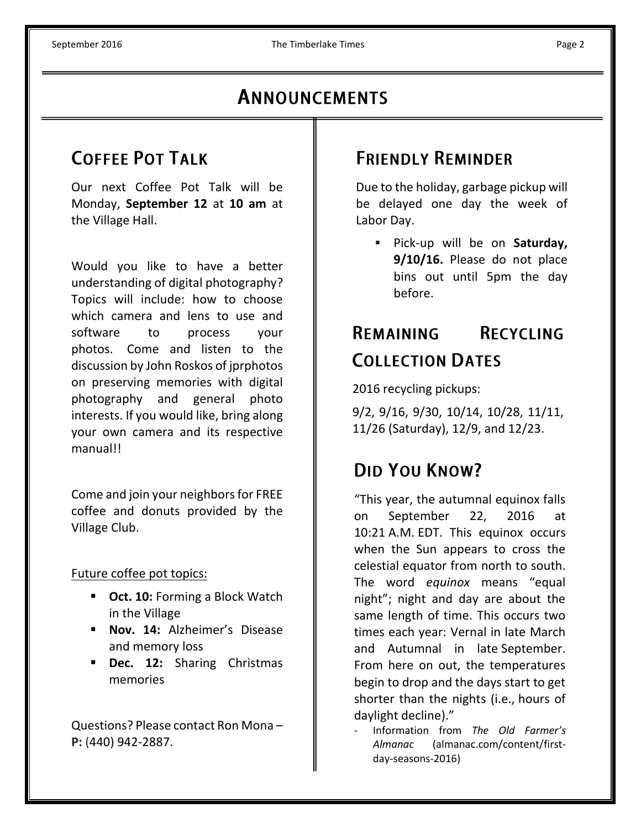# ANNOUNCEMENTS

# **COFFEE POT TALK**

Our next Coffee Pot Talk will be Monday, **September 12** at **10 am** at the Village Hall.

Would you like to have a better understanding of digital photography? Topics will include: how to choose which camera and lens to use and software to process your photos. Come and listen to the discussion by John Roskos of jprphotos on preserving memories with digital photography and general photo interests. If you would like, bring along your own camera and its respective manual!!

Come and join your neighbors for FREE coffee and donuts provided by the Village Club.

Future coffee pot topics:

- **Oct. 10:** Forming a Block Watch in the Village
- **Nov. 14:** Alzheimer's Disease and memory loss
- **Dec. 12:** Sharing Christmas memories

Questions? Please contact Ron Mona – **P:** (440) 942-2887.

# **FRIENDLY REMINDER**

Due to the holiday, garbage pickup will be delayed one day the week of Labor Day.

 Pick-up will be on **Saturday, 9/10/16.** Please do not place bins out until 5pm the day before.

## **RECYCLING REMAINING COLLECTION DATES**

2016 recycling pickups:

9/2, 9/16, 9/30, 10/14, 10/28, 11/11, 11/26 (Saturday), 12/9, and 12/23.

# DID YOU KNOW?

"This year, the autumnal equinox falls on September 22, 2016 at 10:21 A.M. EDT. This equinox occurs when the Sun appears to cross the celestial equator from north to south. The word *equinox* means "equal night"; night and day are about the same length of time. This occurs two times each year: Vernal in late March and Autumnal in late September. From here on out, the temperatures begin to drop and the days start to get shorter than the nights (i.e., hours of daylight decline)."

- Information from *The Old Farmer's Almanac* (almanac.com/content/firstday-seasons-2016)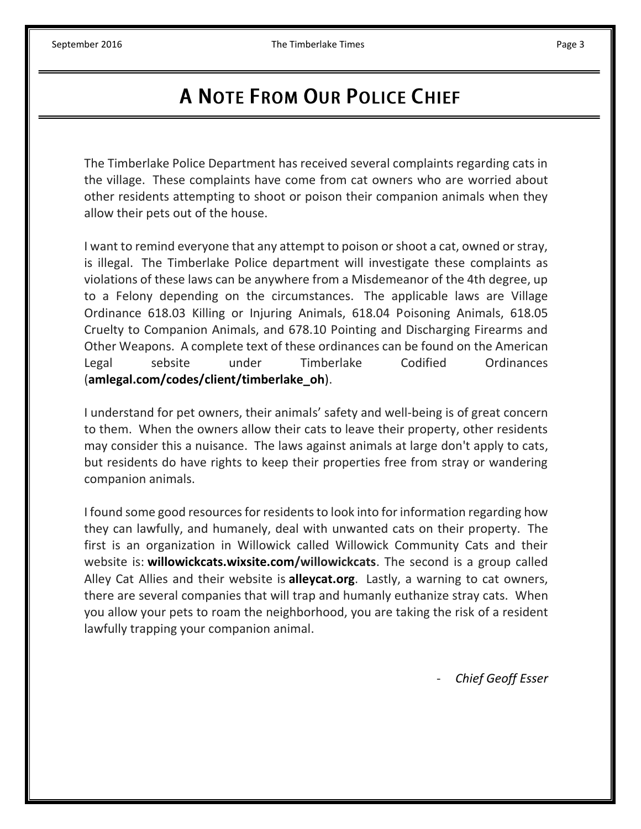# **A NOTE FROM OUR POLICE CHIEF**

The Timberlake Police Department has received several complaints regarding cats in the village. These complaints have come from cat owners who are worried about other residents attempting to shoot or poison their companion animals when they allow their pets out of the house.

I want to remind everyone that any attempt to poison or shoot a cat, owned or stray, is illegal. The Timberlake Police department will investigate these complaints as violations of these laws can be anywhere from a Misdemeanor of the 4th degree, up to a Felony depending on the circumstances. The applicable laws are Village Ordinance 618.03 Killing or Injuring Animals, 618.04 Poisoning Animals, 618.05 Cruelty to Companion Animals, and 678.10 Pointing and Discharging Firearms and Other Weapons. A complete text of these ordinances can be found on the American Legal sebsite under Timberlake Codified Ordinances (**amlegal.com/codes/client/timberlake\_oh**).

I understand for pet owners, their animals' safety and well-being is of great concern to them. When the owners allow their cats to leave their property, other residents may consider this a nuisance. The laws against animals at large don't apply to cats, but residents do have rights to keep their properties free from stray or wandering companion animals.

I found some good resources for residents to look into for information regarding how they can lawfully, and humanely, deal with unwanted cats on their property. The first is an organization in Willowick called Willowick Community Cats and their website is: **willowickcats.wixsite.com/willowickcats**. The second is a group called Alley Cat Allies and their website is **alleycat.org**. Lastly, a warning to cat owners, there are several companies that will trap and humanly euthanize stray cats. When you allow your pets to roam the neighborhood, you are taking the risk of a resident lawfully trapping your companion animal.

- *Chief Geoff Esser*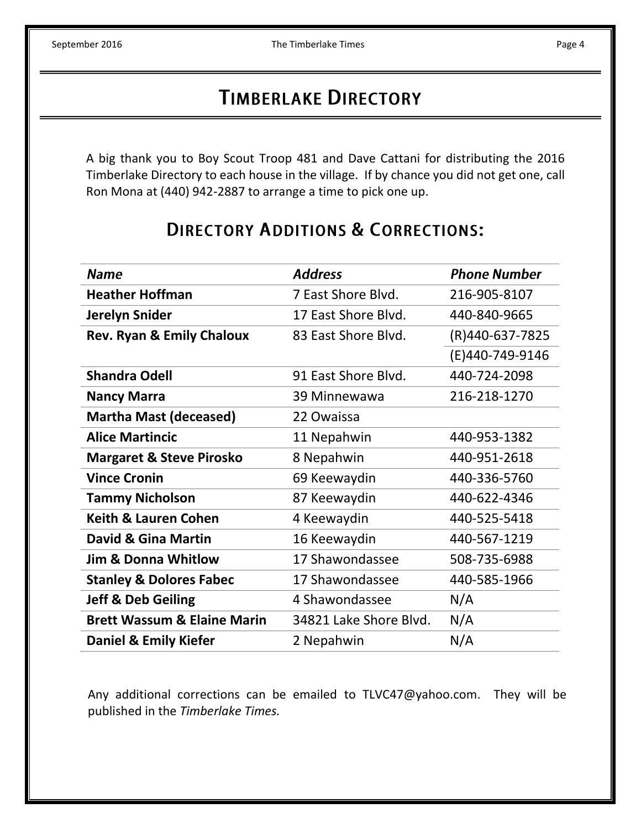A big thank you to Boy Scout Troop 481 and Dave Cattani for distributing the 2016 Timberlake Directory to each house in the village. If by chance you did not get one, call Ron Mona at (440) 942-2887 to arrange a time to pick one up.

# **DIRECTORY ADDITIONS & CORRECTIONS:**

| <b>Name</b>                            | <b>Address</b>         | <b>Phone Number</b> |
|----------------------------------------|------------------------|---------------------|
| <b>Heather Hoffman</b>                 | 7 East Shore Blvd.     | 216-905-8107        |
| <b>Jerelyn Snider</b>                  | 17 East Shore Blvd.    | 440-840-9665        |
| <b>Rev. Ryan &amp; Emily Chaloux</b>   | 83 East Shore Blvd.    | (R)440-637-7825     |
|                                        |                        | (E)440-749-9146     |
| <b>Shandra Odell</b>                   | 91 East Shore Blvd.    | 440-724-2098        |
| <b>Nancy Marra</b>                     | 39 Minnewawa           | 216-218-1270        |
| <b>Martha Mast (deceased)</b>          | 22 Owaissa             |                     |
| <b>Alice Martincic</b>                 | 11 Nepahwin            | 440-953-1382        |
| <b>Margaret &amp; Steve Pirosko</b>    | 8 Nepahwin             | 440-951-2618        |
| <b>Vince Cronin</b>                    | 69 Keewaydin           | 440-336-5760        |
| <b>Tammy Nicholson</b>                 | 87 Keewaydin           | 440-622-4346        |
| <b>Keith &amp; Lauren Cohen</b>        | 4 Keewaydin            | 440-525-5418        |
| David & Gina Martin                    | 16 Keewaydin           | 440-567-1219        |
| <b>Jim &amp; Donna Whitlow</b>         | 17 Shawondassee        | 508-735-6988        |
| <b>Stanley &amp; Dolores Fabec</b>     | 17 Shawondassee        | 440-585-1966        |
| <b>Jeff &amp; Deb Geiling</b>          | 4 Shawondassee         | N/A                 |
| <b>Brett Wassum &amp; Elaine Marin</b> | 34821 Lake Shore Blvd. | N/A                 |
| Daniel & Emily Kiefer                  | 2 Nepahwin             | N/A                 |

Any additional corrections can be emailed to TLVC47@yahoo.com. They will be published in the *Timberlake Times.*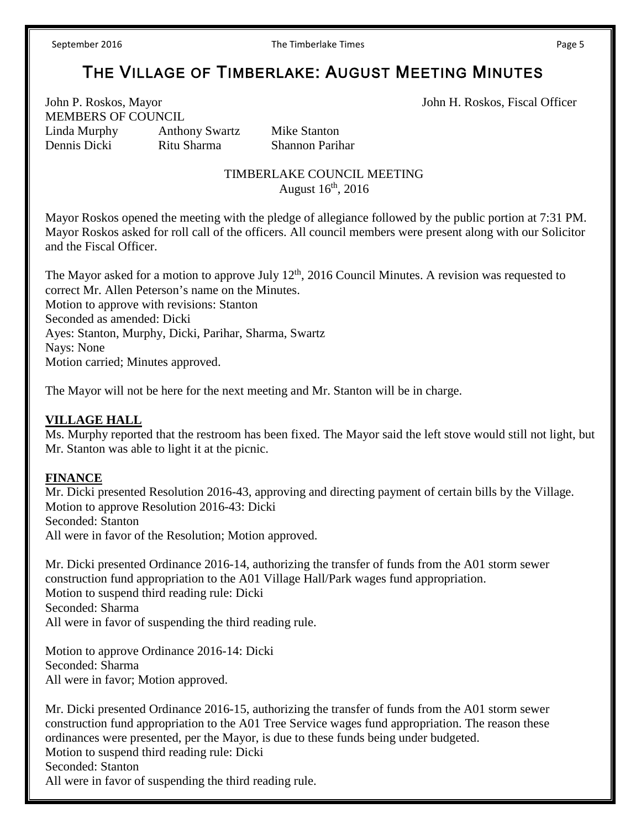# THE VILLAGE OF TIMBERLAKE: AUGUST MEETING MINUTES

John P. Roskos, Mayor John H. Roskos, Fiscal Officer MEMBERS OF COUNCIL Linda Murphy Anthony Swartz Mike Stanton Dennis Dicki Ritu Sharma Shannon Parihar

#### TIMBERLAKE COUNCIL MEETING August  $16<sup>th</sup>$ , 2016

Mayor Roskos opened the meeting with the pledge of allegiance followed by the public portion at 7:31 PM. Mayor Roskos asked for roll call of the officers. All council members were present along with our Solicitor and the Fiscal Officer.

The Mayor asked for a motion to approve July  $12<sup>th</sup>$ , 2016 Council Minutes. A revision was requested to correct Mr. Allen Peterson's name on the Minutes. Motion to approve with revisions: Stanton Seconded as amended: Dicki Ayes: Stanton, Murphy, Dicki, Parihar, Sharma, Swartz Nays: None Motion carried; Minutes approved.

The Mayor will not be here for the next meeting and Mr. Stanton will be in charge.

#### **VILLAGE HALL**

Ms. Murphy reported that the restroom has been fixed. The Mayor said the left stove would still not light, but Mr. Stanton was able to light it at the picnic.

#### **FINANCE**

Mr. Dicki presented Resolution 2016-43, approving and directing payment of certain bills by the Village. Motion to approve Resolution 2016-43: Dicki Seconded: Stanton All were in favor of the Resolution; Motion approved.

Mr. Dicki presented Ordinance 2016-14, authorizing the transfer of funds from the A01 storm sewer construction fund appropriation to the A01 Village Hall/Park wages fund appropriation. Motion to suspend third reading rule: Dicki Seconded: Sharma All were in favor of suspending the third reading rule.

Motion to approve Ordinance 2016-14: Dicki Seconded: Sharma All were in favor; Motion approved.

Mr. Dicki presented Ordinance 2016-15, authorizing the transfer of funds from the A01 storm sewer construction fund appropriation to the A01 Tree Service wages fund appropriation. The reason these ordinances were presented, per the Mayor, is due to these funds being under budgeted. Motion to suspend third reading rule: Dicki Seconded: Stanton All were in favor of suspending the third reading rule.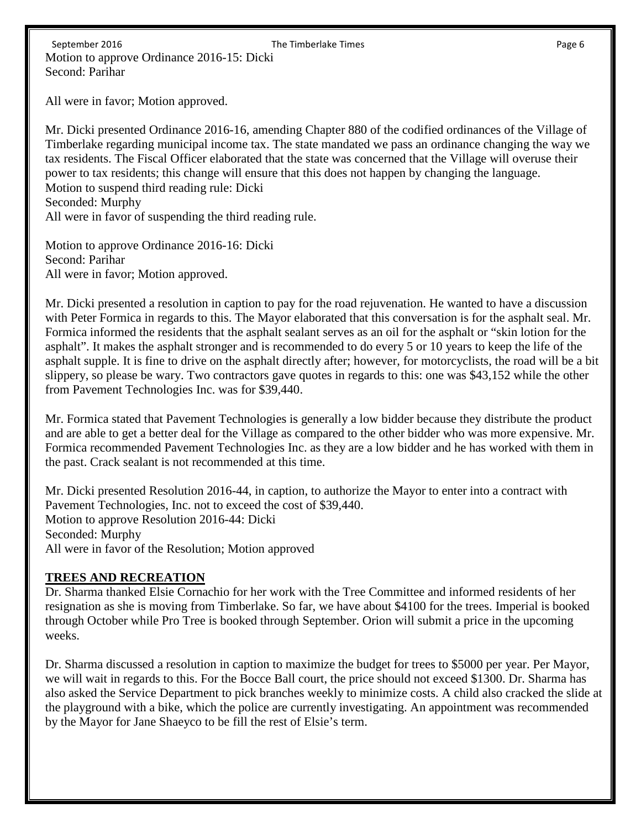All were in favor; Motion approved.

Mr. Dicki presented Ordinance 2016-16, amending Chapter 880 of the codified ordinances of the Village of Timberlake regarding municipal income tax. The state mandated we pass an ordinance changing the way we tax residents. The Fiscal Officer elaborated that the state was concerned that the Village will overuse their power to tax residents; this change will ensure that this does not happen by changing the language. Motion to suspend third reading rule: Dicki Seconded: Murphy All were in favor of suspending the third reading rule.

Motion to approve Ordinance 2016-16: Dicki Second: Parihar All were in favor; Motion approved.

Mr. Dicki presented a resolution in caption to pay for the road rejuvenation. He wanted to have a discussion with Peter Formica in regards to this. The Mayor elaborated that this conversation is for the asphalt seal. Mr. Formica informed the residents that the asphalt sealant serves as an oil for the asphalt or "skin lotion for the asphalt". It makes the asphalt stronger and is recommended to do every 5 or 10 years to keep the life of the asphalt supple. It is fine to drive on the asphalt directly after; however, for motorcyclists, the road will be a bit slippery, so please be wary. Two contractors gave quotes in regards to this: one was \$43,152 while the other from Pavement Technologies Inc. was for \$39,440.

Mr. Formica stated that Pavement Technologies is generally a low bidder because they distribute the product and are able to get a better deal for the Village as compared to the other bidder who was more expensive. Mr. Formica recommended Pavement Technologies Inc. as they are a low bidder and he has worked with them in the past. Crack sealant is not recommended at this time.

Mr. Dicki presented Resolution 2016-44, in caption, to authorize the Mayor to enter into a contract with Pavement Technologies, Inc. not to exceed the cost of \$39,440. Motion to approve Resolution 2016-44: Dicki Seconded: Murphy All were in favor of the Resolution; Motion approved

#### **TREES AND RECREATION**

Dr. Sharma thanked Elsie Cornachio for her work with the Tree Committee and informed residents of her resignation as she is moving from Timberlake. So far, we have about \$4100 for the trees. Imperial is booked through October while Pro Tree is booked through September. Orion will submit a price in the upcoming weeks.

Dr. Sharma discussed a resolution in caption to maximize the budget for trees to \$5000 per year. Per Mayor, we will wait in regards to this. For the Bocce Ball court, the price should not exceed \$1300. Dr. Sharma has also asked the Service Department to pick branches weekly to minimize costs. A child also cracked the slide at the playground with a bike, which the police are currently investigating. An appointment was recommended by the Mayor for Jane Shaeyco to be fill the rest of Elsie's term.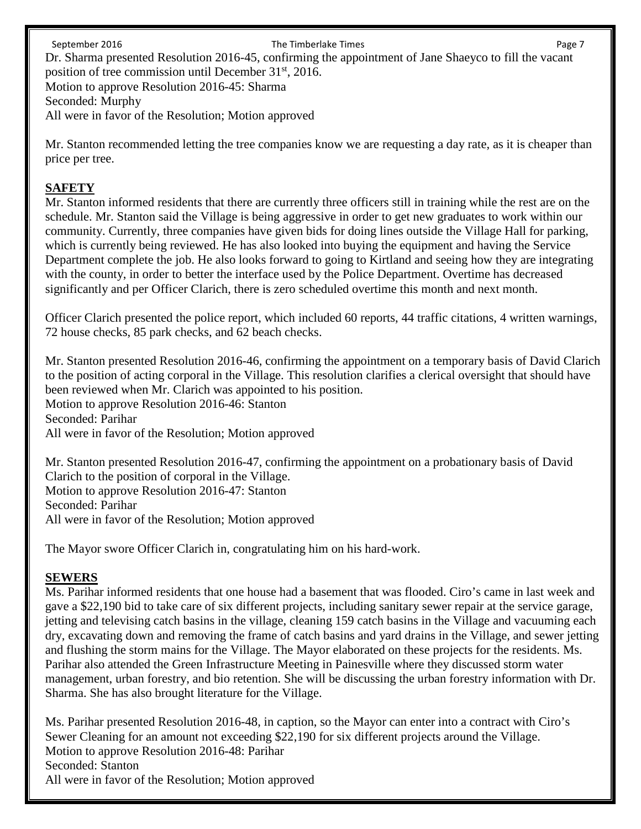September 2016 **The Timberlake Times The Timberlake Times** Page 7 Dr. Sharma presented Resolution 2016-45, confirming the appointment of Jane Shaeyco to fill the vacant position of tree commission until December 31<sup>st</sup>, 2016. Motion to approve Resolution 2016-45: Sharma Seconded: Murphy All were in favor of the Resolution; Motion approved

Mr. Stanton recommended letting the tree companies know we are requesting a day rate, as it is cheaper than price per tree.

#### **SAFETY**

Mr. Stanton informed residents that there are currently three officers still in training while the rest are on the schedule. Mr. Stanton said the Village is being aggressive in order to get new graduates to work within our community. Currently, three companies have given bids for doing lines outside the Village Hall for parking, which is currently being reviewed. He has also looked into buying the equipment and having the Service Department complete the job. He also looks forward to going to Kirtland and seeing how they are integrating with the county, in order to better the interface used by the Police Department. Overtime has decreased significantly and per Officer Clarich, there is zero scheduled overtime this month and next month.

Officer Clarich presented the police report, which included 60 reports, 44 traffic citations, 4 written warnings, 72 house checks, 85 park checks, and 62 beach checks.

Mr. Stanton presented Resolution 2016-46, confirming the appointment on a temporary basis of David Clarich to the position of acting corporal in the Village. This resolution clarifies a clerical oversight that should have been reviewed when Mr. Clarich was appointed to his position. Motion to approve Resolution 2016-46: Stanton Seconded: Parihar All were in favor of the Resolution; Motion approved

Mr. Stanton presented Resolution 2016-47, confirming the appointment on a probationary basis of David Clarich to the position of corporal in the Village. Motion to approve Resolution 2016-47: Stanton Seconded: Parihar All were in favor of the Resolution; Motion approved

The Mayor swore Officer Clarich in, congratulating him on his hard-work.

## **SEWERS**

Ms. Parihar informed residents that one house had a basement that was flooded. Ciro's came in last week and gave a \$22,190 bid to take care of six different projects, including sanitary sewer repair at the service garage, jetting and televising catch basins in the village, cleaning 159 catch basins in the Village and vacuuming each dry, excavating down and removing the frame of catch basins and yard drains in the Village, and sewer jetting and flushing the storm mains for the Village. The Mayor elaborated on these projects for the residents. Ms. Parihar also attended the Green Infrastructure Meeting in Painesville where they discussed storm water management, urban forestry, and bio retention. She will be discussing the urban forestry information with Dr. Sharma. She has also brought literature for the Village.

Ms. Parihar presented Resolution 2016-48, in caption, so the Mayor can enter into a contract with Ciro's Sewer Cleaning for an amount not exceeding \$22,190 for six different projects around the Village. Motion to approve Resolution 2016-48: Parihar Seconded: Stanton All were in favor of the Resolution; Motion approved